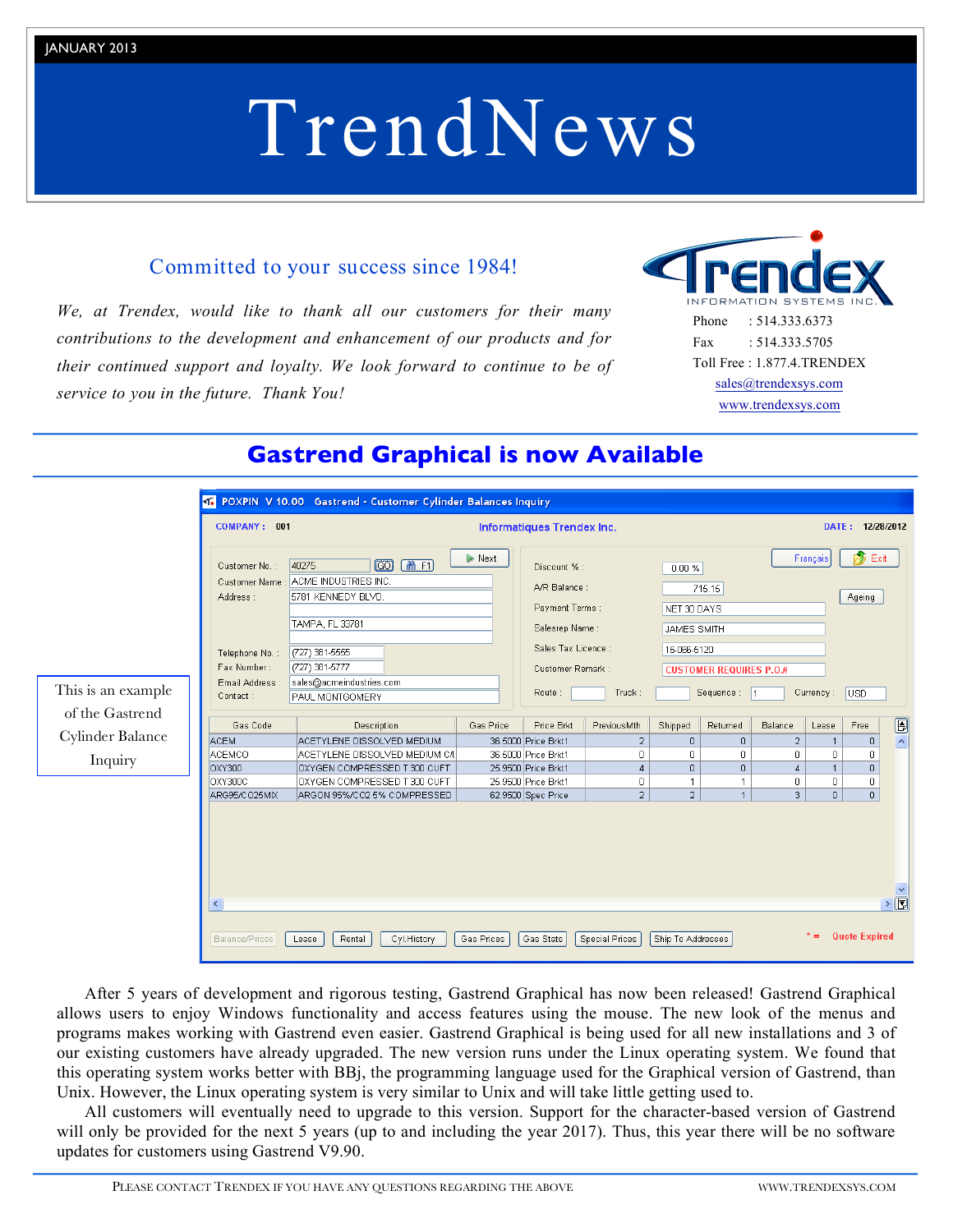# JANUARY 2013

# TrendNews

# Committed to your success since 1984!

*We, at Trendex, would like to thank all our customers for their many contributions to the development and enhancement of our products and for their continued support and loyalty. We look forward to continue to be of service to you in the future. Thank You!*



|                    | COMPANY: 001                                                                                                                                                                                                                                                                                      | Informatiques Trendex Inc.      |                       |                                                                                                                                 |                       |                   |                                                                                                                                                   |                | DATE: 12/28/2012 |                                    |                              |  |
|--------------------|---------------------------------------------------------------------------------------------------------------------------------------------------------------------------------------------------------------------------------------------------------------------------------------------------|---------------------------------|-----------------------|---------------------------------------------------------------------------------------------------------------------------------|-----------------------|-------------------|---------------------------------------------------------------------------------------------------------------------------------------------------|----------------|------------------|------------------------------------|------------------------------|--|
| This is an example | $\boxed{00}$<br>mF1<br>40275<br>Customer No.:<br>: ACME INDUSTRIES INC.<br>Customer Name<br>5781 KENNEDY BLVD.<br>Address:<br>TAMPA, FL 33781<br>(727) 381-5555<br>Telephone No. :<br>Fax Number:<br>(727) 381-5777<br>sales@acmeindustries.com<br>Email Address :<br>Contact:<br>PAUL MONTGOMERY |                                 | $\triangleright$ Next | Discount % :<br>A/R Balance:<br>Payment Terms:<br>Salesrep Name:<br>Sales Tax Licence :<br>Customer Remark:<br>Route:<br>Truck: |                       |                   | Français<br>$0.00 \%$<br>715.15<br>NET 30 DAYS<br><b>JAMES SMITH</b><br>16-066-5120<br><b>CUSTOMER REQUIRES P.O.#</b><br>Sequence: 1<br>Currency: |                |                  | P.<br>Exit<br>Ageing<br><b>USD</b> |                              |  |
| of the Gastrend    | Gas Code                                                                                                                                                                                                                                                                                          | Description                     | Gas Price             | Price Brkt                                                                                                                      | PreviousMth           | Shipped           | Returned                                                                                                                                          | Balance        | Lease            | Free                               | O                            |  |
| Cylinder Balance   | <b>ACEM</b>                                                                                                                                                                                                                                                                                       | ACETYLENE DISSOLVED MEDIUM      |                       | 36.5000 Price Brkt1                                                                                                             | $\overline{2}$        | $\overline{0}$    | $\mathbf 0$                                                                                                                                       | $\overline{2}$ | $\mathbf{1}$     | $\cup$                             | $\hat{\phantom{a}}$          |  |
| Inquiry            | ACEMCO                                                                                                                                                                                                                                                                                            | ACETYLENE DISSOLVED MEDIUM C/L  |                       | 36.5000 Price Brkt1                                                                                                             | $\overline{0}$        | $\mathbf 0$       | $\circ$                                                                                                                                           | $\mathbf 0$    | 0                | 0                                  |                              |  |
|                    | OXY300                                                                                                                                                                                                                                                                                            | OXYGEN COMPRESSED T 300 CUFT    |                       | 25.9500 Price Brkt1                                                                                                             | $\overline{4}$        | $\overline{0}$    | $\overline{0}$                                                                                                                                    | $\overline{4}$ | $\mathbf{1}$     | $\overline{0}$                     |                              |  |
|                    | OXY300C                                                                                                                                                                                                                                                                                           | OXYGEN COMPRESSED T 300 CUFT    |                       | 25.9500 Price Brkt1                                                                                                             | $\circ$               | 1                 | $\mathbf{1}$                                                                                                                                      | $\mathbf 0$    | 0                | 0                                  |                              |  |
|                    | ARG95/CO25MIX                                                                                                                                                                                                                                                                                     | ARGON 95%/CO2 5% COMPRESSED     |                       | 62.9500 Spec Price                                                                                                              | $\overline{2}$        | $\overline{2}$    | $\overline{1}$                                                                                                                                    | 3              | $\overline{0}$   | $\overline{0}$                     |                              |  |
|                    | $\prec$<br>Balance/Prices                                                                                                                                                                                                                                                                         | Rental<br>Cyl. History<br>Lease | Gas Prices            | Gas Stats                                                                                                                       | <b>Special Prices</b> | Ship To Addresses |                                                                                                                                                   |                | * =              | <b>Quote Expired</b>               | $\triangleright$ $\boxed{5}$ |  |

# **Gastrend Graphical is now Available**

After 5 years of development and rigorous testing, Gastrend Graphical has now been released! Gastrend Graphical allows users to enjoy Windows functionality and access features using the mouse. The new look of the menus and programs makes working with Gastrend even easier. Gastrend Graphical is being used for all new installations and 3 of our existing customers have already upgraded. The new version runs under the Linux operating system. We found that this operating system works better with BBj, the programming language used for the Graphical version of Gastrend, than Unix. However, the Linux operating system is very similar to Unix and will take little getting used to.

All customers will eventually need to upgrade to this version. Support for the character-based version of Gastrend will only be provided for the next 5 years (up to and including the year 2017). Thus, this year there will be no software updates for customers using Gastrend V9.90.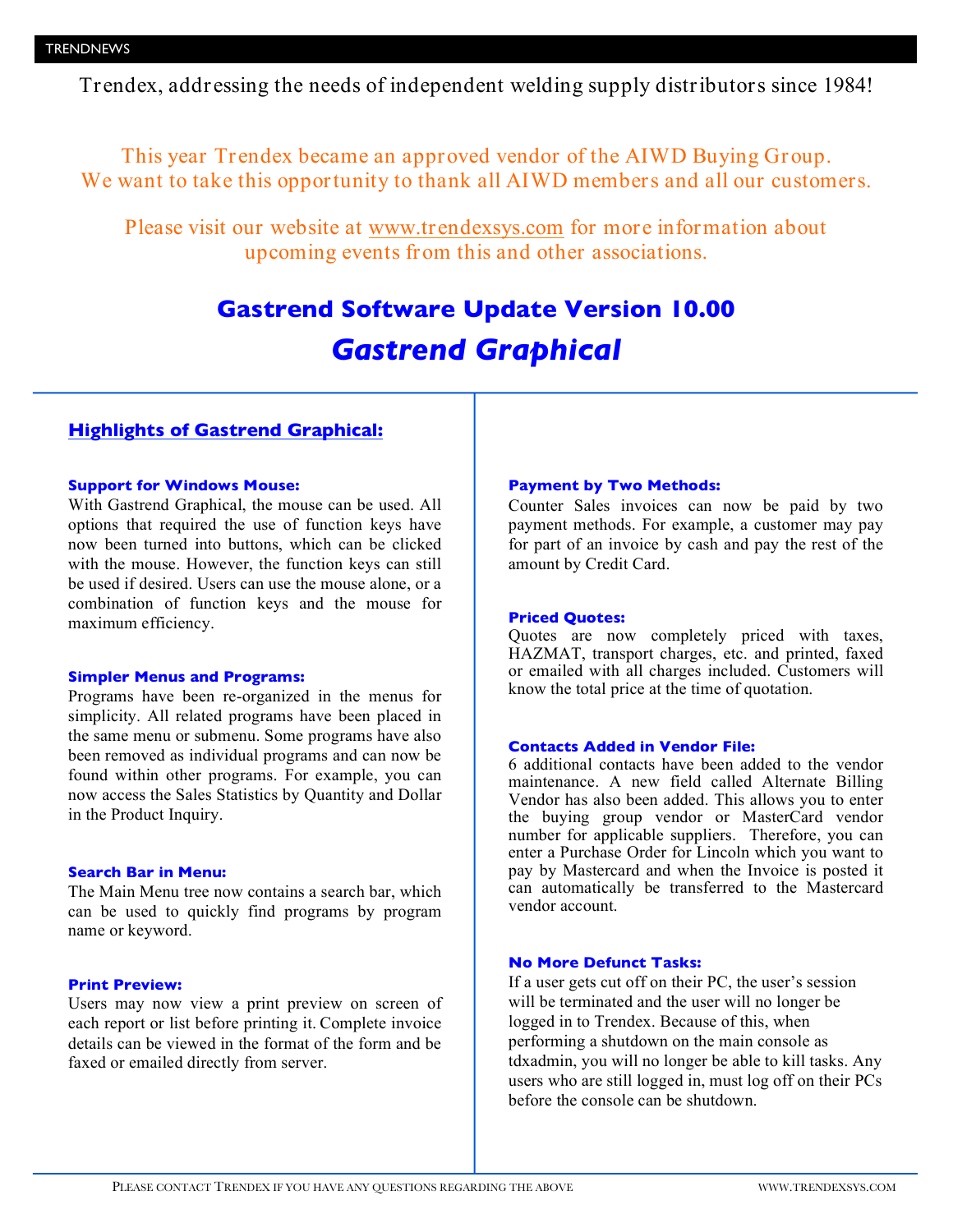Trendex, addressing the needs of independent welding supply distributors since 1984!

This year Trendex became an approved vendor of the AIWD Buying Group. We want to take this opportunity to thank all AIWD members and all our customers.

Please visit our website at www.trendexsys.com for more information about upcoming events from this and other associations.

# **Gastrend Software Update Version 10.00** *Gastrend Graphical*

# **Highlights of Gastrend Graphical:**

# **Support for Windows Mouse:**

With Gastrend Graphical, the mouse can be used. All options that required the use of function keys have now been turned into buttons, which can be clicked with the mouse. However, the function keys can still be used if desired. Users can use the mouse alone, or a combination of function keys and the mouse for maximum efficiency.

# **Simpler Menus and Programs:**

Programs have been re-organized in the menus for simplicity. All related programs have been placed in the same menu or submenu. Some programs have also been removed as individual programs and can now be found within other programs. For example, you can now access the Sales Statistics by Quantity and Dollar in the Product Inquiry.

# **Search Bar in Menu:**

The Main Menu tree now contains a search bar, which can be used to quickly find programs by program name or keyword.

# **Print Preview:**

Users may now view a print preview on screen of each report or list before printing it. Complete invoice details can be viewed in the format of the form and be faxed or emailed directly from server.

# **Payment by Two Methods:**

Counter Sales invoices can now be paid by two payment methods. For example, a customer may pay for part of an invoice by cash and pay the rest of the amount by Credit Card.

# **Priced Quotes:**

Quotes are now completely priced with taxes, HAZMAT, transport charges, etc. and printed, faxed or emailed with all charges included. Customers will know the total price at the time of quotation.

# **Contacts Added in Vendor File:**

6 additional contacts have been added to the vendor maintenance. A new field called Alternate Billing Vendor has also been added. This allows you to enter the buying group vendor or MasterCard vendor number for applicable suppliers. Therefore, you can enter a Purchase Order for Lincoln which you want to pay by Mastercard and when the Invoice is posted it can automatically be transferred to the Mastercard vendor account.

# **No More Defunct Tasks:**

If a user gets cut off on their PC, the user's session will be terminated and the user will no longer be logged in to Trendex. Because of this, when performing a shutdown on the main console as tdxadmin, you will no longer be able to kill tasks. Any users who are still logged in, must log off on their PCs before the console can be shutdown.